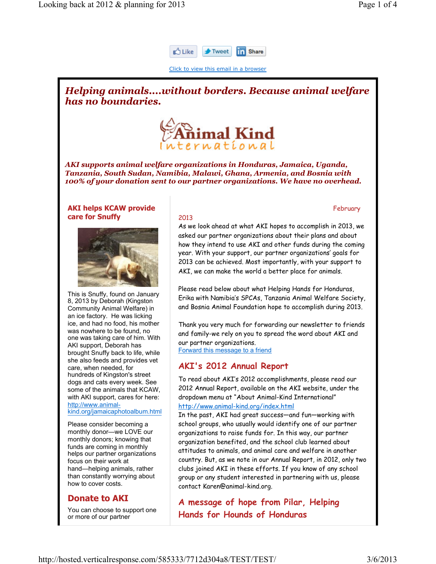February



Click to view this email in a browser

# Helping animals....without borders. Because animal welfare has no boundaries.



AKI supports animal welfare organizations in Honduras, Jamaica, Uganda, Tanzania, South Sudan, Namibia, Malawi, Ghana, Armenia, and Bosnia with 100% of your donation sent to our partner organizations. We have no overhead.

### AKI helps KCAW provide care for Snuffy



This is Snuffy, found on January 8, 2013 by Deborah (Kingston Community Animal Welfare) in an ice factory. He was licking ice, and had no food, his mother was nowhere to be found, no one was taking care of him. With AKI support, Deborah has brought Snuffy back to life, while she also feeds and provides vet care, when needed, for hundreds of Kingston's street dogs and cats every week. See some of the animals that KCAW, with AKI support, cares for here: http://www.animalkind.org/jamaicaphotoalbum.html

Please consider becoming a monthly donor—we LOVE our monthly donors; knowing that funds are coming in monthly helps our partner organizations focus on their work at hand—helping animals, rather than constantly worrying about how to cover costs.

### Donate to AKI

You can choose to support one or more of our partner

2013

As we look ahead at what AKI hopes to accomplish in 2013, we asked our partner organizations about their plans and about how they intend to use AKI and other funds during the coming year. With your support, our partner organizations' goals for 2013 can be achieved. Most importantly, with your support to AKI, we can make the world a better place for animals.

Please read below about what Helping Hands for Honduras, Erika with Namibia's SPCAs, Tanzania Animal Welfare Society, and Bosnia Animal Foundation hope to accomplish during 2013.

Thank you very much for forwarding our newsletter to friends and family-we rely on you to spread the word about AKI and our partner organizations. Forward this message to a friend

AKI's 2012 Annual Report

To read about AKI's 2012 accomplishments, please read our 2012 Annual Report, available on the AKI website, under the dropdown menu at "About Animal-Kind International" http://www.animal-kind.org/index.html

In the past, AKI had great success—and fun—working with school groups, who usually would identify one of our partner organizations to raise funds for. In this way, our partner organization benefited, and the school club learned about attitudes to animals, and animal care and welfare in another country. But, as we note in our Annual Report, in 2012, only two clubs joined AKI in these efforts. If you know of any school group or any student interested in partnering with us, please contact Karen@animal-kind.org.

A message of hope from Pilar, Helping Hands for Hounds of Honduras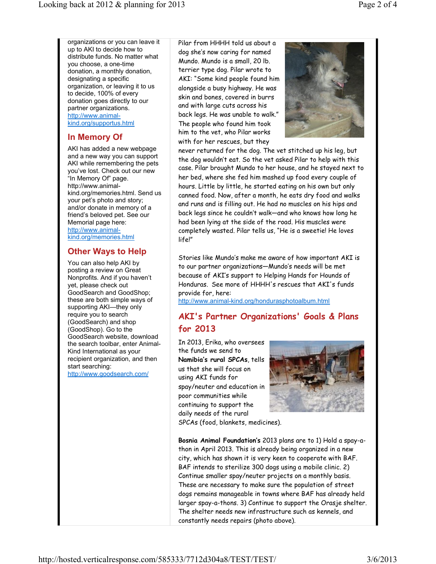organizations or you can leave it up to AKI to decide how to distribute funds. No matter what you choose, a one-time donation, a monthly donation, designating a specific organization, or leaving it to us to decide, 100% of every donation goes directly to our partner organizations. http://www.animalkind.org/supportus.html

### In Memory Of

AKI has added a new webpage and a new way you can support AKI while remembering the pets you've lost. Check out our new "In Memory Of" page. http://www.animalkind.org/memories.html. Send us your pet's photo and story; and/or donate in memory of a friend's beloved pet. See our Memorial page here: http://www.animalkind.org/memories.html

## Other Ways to Help

You can also help AKI by posting a review on Great Nonprofits. And if you haven't yet, please check out GoodSearch and GoodShop; these are both simple ways of supporting AKI—they only require you to search (GoodSearch) and shop (GoodShop). Go to the GoodSearch website, download the search toolbar, enter Animal-Kind International as your recipient organization, and then start searching:

http://www.goodsearch.com/

Pilar from HHHH told us about a dog she's now caring for named Mundo. Mundo is a small, 20 lb. terrier type dog. Pilar wrote to AKI: "Some kind people found him alongside a busy highway. He was skin and bones, covered in burrs and with large cuts across his back legs. He was unable to walk." The people who found him took him to the vet, who Pilar works with for her rescues, but they



never returned for the dog. The vet stitched up his leg, but the dog wouldn't eat. So the vet asked Pilar to help with this case. Pilar brought Mundo to her house, and he stayed next to her bed, where she fed him mashed up food every couple of hours. Little by little, he started eating on his own but only canned food. Now, after a month, he eats dry food and walks and runs and is filling out. He had no muscles on his hips and back legs since he couldn't walk—and who knows how long he had been lying at the side of the road. His muscles were completely wasted. Pilar tells us, "He is a sweetie! He loves life!"

Stories like Mundo's make me aware of how important AKI is to our partner organizations—Mundo's needs will be met because of AKI's support to Helping Hands for Hounds of Honduras. See more of HHHH's rescues that AKI's funds provide for, here:

http://www.animal-kind.org/hondurasphotoalbum.html

# AKI's Partner Organizations' Goals & Plans for 2013

In 2013, Erika, who oversees the funds we send to Namibia's rural SPCAs, tells us that she will focus on using AKI funds for spay/neuter and education in poor communities while continuing to support the daily needs of the rural



SPCAs (food, blankets, medicines).

Bosnia Animal Foundation's 2013 plans are to 1) Hold a spay-athon in April 2013. This is already being organized in a new city, which has shown it is very keen to cooperate with BAF. BAF intends to sterilize 300 dogs using a mobile clinic. 2) Continue smaller spay/neuter projects on a monthly basis. These are necessary to make sure the population of street dogs remains manageable in towns where BAF has already held larger spay-a-thons. 3) Continue to support the Orasje shelter. The shelter needs new infrastructure such as kennels, and constantly needs repairs (photo above).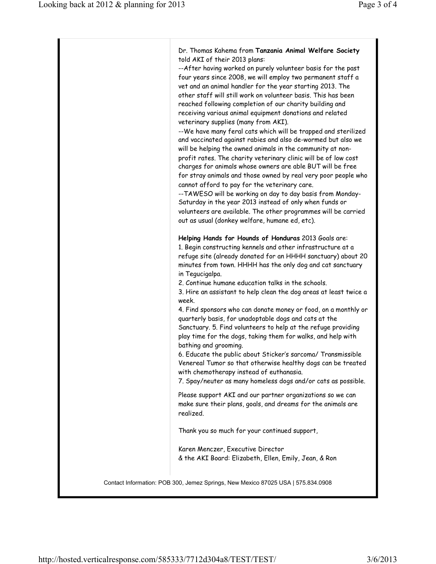| Dr. Thomas Kahema from Tanzania Animal Welfare Society        |
|---------------------------------------------------------------|
| told AKI of their 2013 plans:                                 |
| --After having worked on purely volunteer basis for the past  |
| four years since 2008, we will employ two permanent staff a   |
| vet and an animal handler for the year starting 2013. The     |
| other staff will still work on volunteer basis. This has been |
| reached following completion of our charity building and      |
| receiving various animal equipment donations and related      |
|                                                               |

veterinary supplies (many from AKI).

--We have many feral cats which will be trapped and sterilized and vaccinated against rabies and also de-wormed but also we will be helping the owned animals in the community at nonprofit rates. The charity veterinary clinic will be of low cost charges for animals whose owners are able BUT will be free for stray animals and those owned by real very poor people who cannot afford to pay for the veterinary care.

--TAWESO will be working on day to day basis from Monday-Saturday in the year 2013 instead of only when funds or volunteers are available. The other programmes will be carried out as usual (donkey welfare, humane ed, etc).

Helping Hands for Hounds of Honduras 2013 Goals are: 1. Begin constructing kennels and other infrastructure at a refuge site (already donated for an HHHH sanctuary) about 20 minutes from town. HHHH has the only dog and cat sanctuary in Tegucigalpa.

2. Continue humane education talks in the schools.

3. Hire an assistant to help clean the dog areas at least twice a week.

4. Find sponsors who can donate money or food, on a monthly or quarterly basis, for unadoptable dogs and cats at the Sanctuary. 5. Find volunteers to help at the refuge providing play time for the dogs, taking them for walks, and help with bathing and grooming.

6. Educate the public about Sticker's sarcoma/ Transmissible Venereal Tumor so that otherwise healthy dogs can be treated with chemotherapy instead of euthanasia.

7. Spay/neuter as many homeless dogs and/or cats as possible.

Please support AKI and our partner organizations so we can make sure their plans, goals, and dreams for the animals are realized.

Thank you so much for your continued support,

Karen Menczer, Executive Director & the AKI Board: Elizabeth, Ellen, Emily, Jean, & Ron

Contact Information: POB 300, Jemez Springs, New Mexico 87025 USA | 575.834.0908